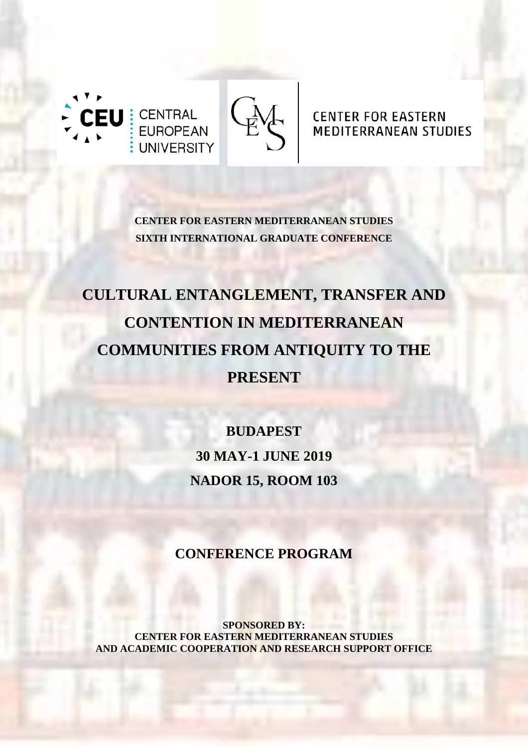

# **CENTER FOR EASTERN MEDITERRANEAN STUDIES**

**CENTER FOR EASTERN MEDITERRANEAN STUDIES SIXTH INTERNATIONAL GRADUATE CONFERENCE**

# **CULTURAL ENTANGLEMENT, TRANSFER AND CONTENTION IN MEDITERRANEAN COMMUNITIES FROM ANTIQUITY TO THE PRESENT**

**BUDAPEST 30 MAY-1 JUNE 2019 NADOR 15, ROOM 103**

**CONFERENCE PROGRAM**

**SPONSORED BY: CENTER FOR EASTERN MEDITERRANEAN STUDIES AND ACADEMIC COOPERATION AND RESEARCH SUPPORT OFFICE**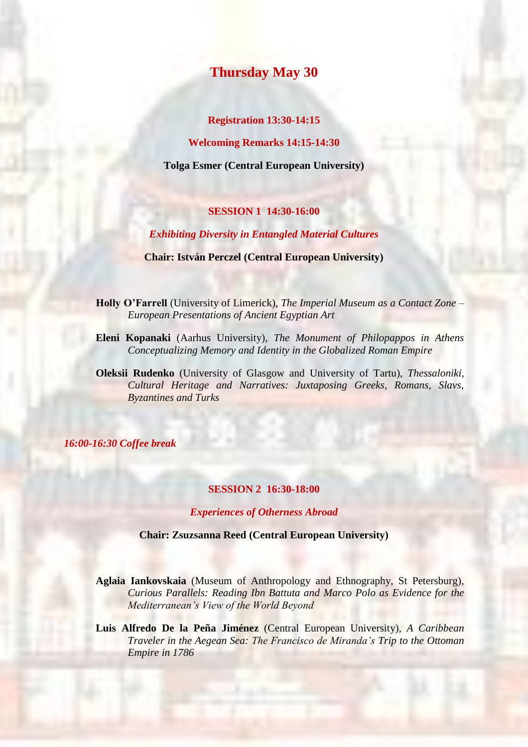# **Thursday May 30**

### **Registration 13:30-14:15**

**Welcoming Remarks 14:15-14:30**

**Tolga Esmer (Central European University)**

# **SESSION 1 14:30-16:00**

## *Exhibiting Diversity in Entangled Material Cultures*

**Chair: István Perczel (Central European University)**

**Holly O'Farrell** (University of Limerick), *The Imperial Museum as a Contact Zone – European Presentations of Ancient Egyptian Art*

- **Eleni Kopanaki** (Aarhus University), *The Monument of Philopappos in Athens Conceptualizing Memory and Identity in the Globalized Roman Empire*
- **Oleksii Rudenko** (University of Glasgow and University of Tartu), *Thessaloniki, Cultural Heritage and Narratives: Juxtaposing Greeks, Romans, Slavs, Byzantines and Turks*

*16:00-16:30 Coffee break*

#### **SESSION 2 16:30-18:00**

#### *Experiences of Otherness Abroad*

**Chair: Zsuzsanna Reed (Central European University)**

**Aglaia Iankovskaia** (Museum of Anthropology and Ethnography, St Petersburg), *Curious Parallels: Reading Ibn Battuta and Marco Polo as Evidence for the Mediterranean's View of the World Beyond*

**Luis Alfredo De la Peña Jiménez** (Central European University), *A Caribbean Traveler in the Aegean Sea: The Francisco de Miranda's Trip to the Ottoman Empire in 1786*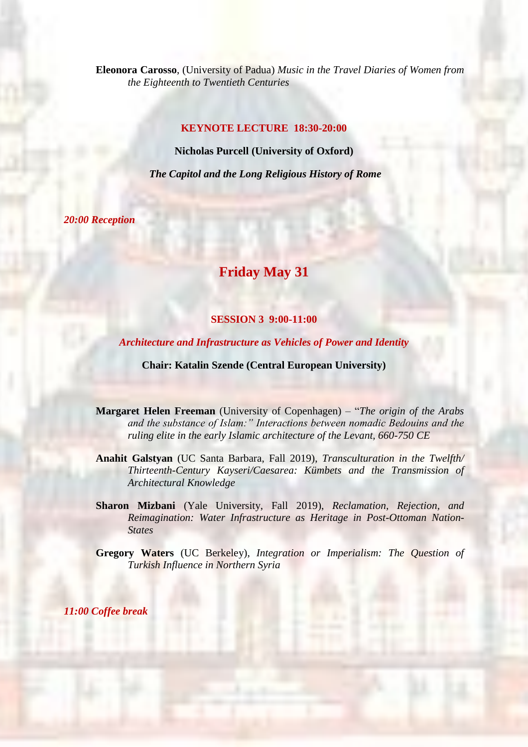**Eleonora Carosso**, (University of Padua) *Music in the Travel Diaries of Women from the Eighteenth to Twentieth Centuries*

# **KEYNOTE LECTURE 18:30-20:00**

**Nicholas Purcell (University of Oxford)**

*The Capitol and the Long Religious History of Rome*

*20:00 Reception*

# **Friday May 31**

# **SESSION 3 9:00-11:00**

*Architecture and Infrastructure as Vehicles of Power and Identity*

**Chair: Katalin Szende (Central European University)**

**Margaret Helen Freeman** (University of Copenhagen) – "*The origin of the Arabs and the substance of Islam:" Interactions between nomadic Bedouins and the ruling elite in the early Islamic architecture of the Levant, 660-750 CE*

**Anahit Galstyan** (UC Santa Barbara, Fall 2019), *Transculturation in the Twelfth/ Thirteenth-Century Kayseri/Caesarea: Kümbets and the Transmission of Architectural Knowledge*

**Sharon Mizbani** (Yale University, Fall 2019), *Reclamation, Rejection, and Reimagination: Water Infrastructure as Heritage in Post-Ottoman Nation-States*

**Gregory Waters** (UC Berkeley), *Integration or Imperialism: The Question of Turkish Influence in Northern Syria*

*11:00 Coffee break*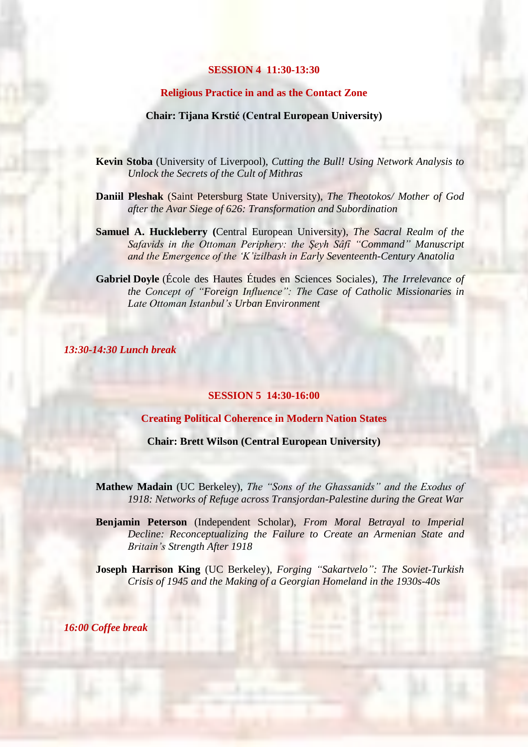#### **SESSION 4 11:30-13:30**

# **Religious Practice in and as the Contact Zone**

#### **Chair: Tijana Krstić (Central European University)**

- **Kevin Stoba** (University of Liverpool), *Cutting the Bull! Using Network Analysis to Unlock the Secrets of the Cult of Mithras*
- **Daniil Pleshak** (Saint Petersburg State University), *The Theotokos/ Mother of God after the Avar Siege of 626: Transformation and Subordination*
- **Samuel A. Huckleberry (**Central European University), *The Sacral Realm of the Safavids in the Ottoman Periphery: the Şeyh Sâfî "Command" Manuscript and the Emergence of the 'K'izilbash in Early Seventeenth-Century Anatolia*
- **Gabriel Doyle** (École des Hautes Études en Sciences Sociales), *The Irrelevance of the Concept of "Foreign Influence": The Case of Catholic Missionaries in Late Ottoman Istanbul's Urban Environment*

*13:30-14:30 Lunch break*

#### **SESSION 5 14:30-16:00**

**Creating Political Coherence in Modern Nation States**

**Chair: Brett Wilson (Central European University)**

**Mathew Madain** (UC Berkeley), *The "Sons of the Ghassanids" and the Exodus of 1918: Networks of Refuge across Transjordan-Palestine during the Great War*

**Benjamin Peterson** (Independent Scholar), *From Moral Betrayal to Imperial Decline: Reconceptualizing the Failure to Create an Armenian State and Britain's Strength After 1918*

**Joseph Harrison King** (UC Berkeley), *Forging "Sakartvelo": The Soviet-Turkish Crisis of 1945 and the Making of a Georgian Homeland in the 1930s-40s*

*16:00 Coffee break*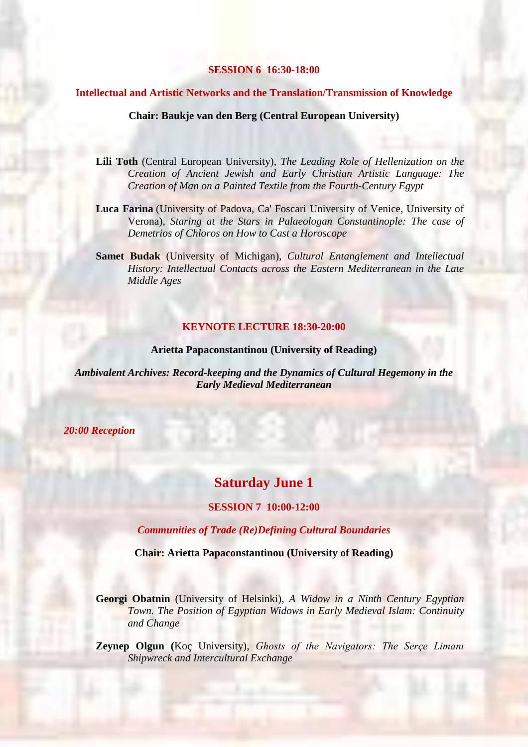#### **SESSION 6 16:30-18:00**

#### **Intellectual and Artistic Networks and the Translation/Transmission of Knowledge**

#### **Chair: Baukje van den Berg (Central European University)**

- **Lili Toth** (Central European University), *The Leading Role of Hellenization on the Creation of Ancient Jewish and Early Christian Artistic Language: The Creation of Man on a Painted Textile from the Fourth-Century Egypt*
- **Luca Farina** (University of Padova, Ca' Foscari University of Venice, University of Verona), *Staring at the Stars in Palaeologan Constantinople: The case of Demetrios of Chloros on How to Cast a Horoscope*
- **Samet Budak** (University of Michigan), *Cultural Entanglement and Intellectual History: Intellectual Contacts across the Eastern Mediterranean in the Late Middle Ages*

## **KEYNOTE LECTURE 18:30-20:00**

#### **Arietta Papaconstantinou (University of Reading)**

*Ambivalent Archives: Record-keeping and the Dynamics of Cultural Hegemony in the Early Medieval Mediterranean*

*20:00 Reception*

# **Saturday June 1**

#### **SESSION 7 10:00-12:00**

*Communities of Trade (Re)Defining Cultural Boundaries*

**Chair: Arietta Papaconstantinou (University of Reading)**

**Georgi Obatnin** (University of Helsinki)*, A Widow in a Ninth Century Egyptian Town. The Position of Egyptian Widows in Early Medieval Islam: Continuity and Change*

**Zeynep Olgun (**Koç University), *Ghosts of the Navigators: The Serçe Limanı Shipwreck and Intercultural Exchange*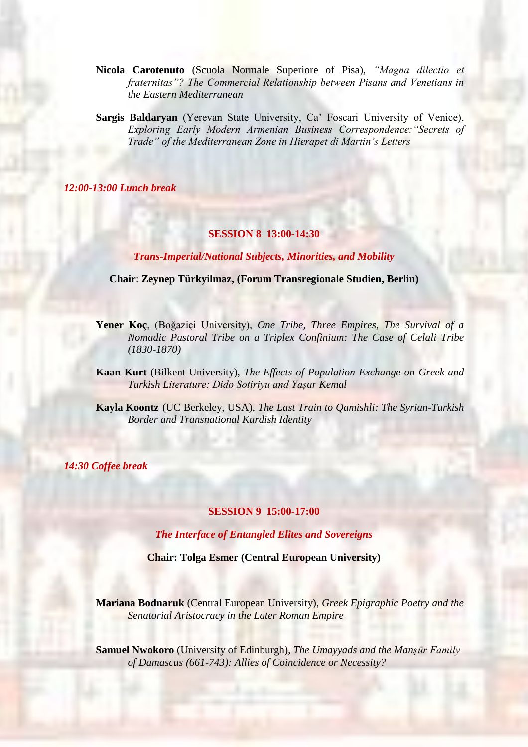- **Nicola Carotenuto** (Scuola Normale Superiore of Pisa), *"Magna dilectio et fraternitas"? The Commercial Relationship between Pisans and Venetians in the Eastern Mediterranean*
- **Sargis Baldaryan** (Yerevan State University, Ca' Foscari University of Venice), *Exploring Early Modern Armenian Business Correspondence:"Secrets of Trade" of the Mediterranean Zone in Hierapet di Martin's Letters*

*12:00-13:00 Lunch break*

# **SESSION 8 13:00-14:30**

*Trans-Imperial/National Subjects, Minorities, and Mobility*

**Chair**: **Zeynep Türkyilmaz, (Forum Transregionale Studien, Berlin)**

- **Yener Koç**, (Boğaziçi University), *One Tribe, Three Empires, The Survival of a Nomadic Pastoral Tribe on a Triplex Confinium: The Case of Celali Tribe (1830-1870)*
- **Kaan Kurt** (Bilkent University), *The Effects of Population Exchange on Greek and Turkish Literature: Dido Sotiriyu and Yașar Kemal*
- **Kayla Koontz** (UC Berkeley, USA), *The Last Train to Qamishli: The Syrian-Turkish Border and Transnational Kurdish Identity*

*14:30 Coffee break*

#### **SESSION 9 15:00-17:00**

*The Interface of Entangled Elites and Sovereigns*

**Chair: Tolga Esmer (Central European University)**

**Mariana Bodnaruk** (Central European University), *Greek Epigraphic Poetry and the Senatorial Aristocracy in the Later Roman Empire*

**Samuel Nwokoro** (University of Edinburgh), *The Umayyads and the Manṣūr Family of Damascus (661-743): Allies of Coincidence or Necessity?*